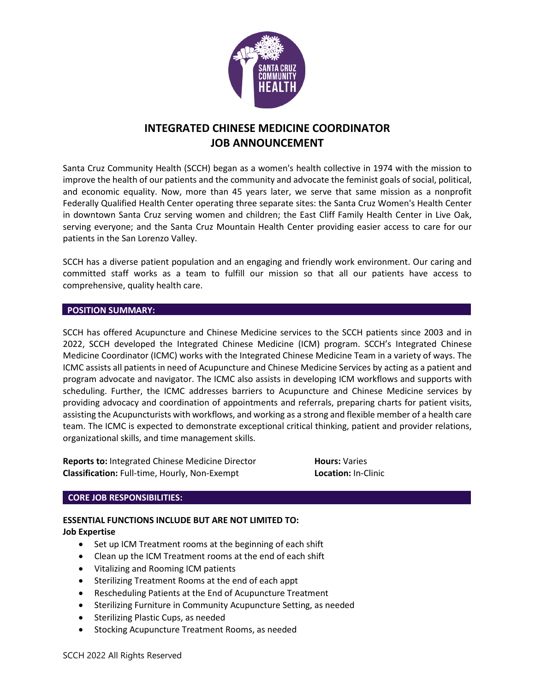

# **INTEGRATED CHINESE MEDICINE COORDINATOR JOB ANNOUNCEMENT**

Santa Cruz Community Health (SCCH) began as a women's health collective in 1974 with the mission to improve the health of our patients and the community and advocate the feminist goals of social, political, and economic equality. Now, more than 45 years later, we serve that same mission as a nonprofit Federally Qualified Health Center operating three separate sites: the Santa Cruz Women's Health Center in downtown Santa Cruz serving women and children; the East Cliff Family Health Center in Live Oak, serving everyone; and the Santa Cruz Mountain Health Center providing easier access to care for our patients in the San Lorenzo Valley.

SCCH has a diverse patient population and an engaging and friendly work environment. Our caring and committed staff works as a team to fulfill our mission so that all our patients have access to comprehensive, quality health care.

#### **POSITION SUMMARY:**

SCCH has offered Acupuncture and Chinese Medicine services to the SCCH patients since 2003 and in 2022, SCCH developed the Integrated Chinese Medicine (ICM) program. SCCH's Integrated Chinese Medicine Coordinator (ICMC) works with the Integrated Chinese Medicine Team in a variety of ways. The ICMC assists all patients in need of Acupuncture and Chinese Medicine Services by acting as a patient and program advocate and navigator. The ICMC also assists in developing ICM workflows and supports with scheduling. Further, the ICMC addresses barriers to Acupuncture and Chinese Medicine services by providing advocacy and coordination of appointments and referrals, preparing charts for patient visits, assisting the Acupuncturists with workflows, and working as a strong and flexible member of a health care team. The ICMC is expected to demonstrate exceptional critical thinking, patient and provider relations, organizational skills, and time management skills.

**Reports to:** Integrated Chinese Medicine Director **Hours:** Varies **Classification:** Full-time, Hourly, Non-Exempt **Location:** In-Clinic

#### **CORE JOB RESPONSIBILITIES:**

## **ESSENTIAL FUNCTIONS INCLUDE BUT ARE NOT LIMITED TO: Job Expertise**

- Set up ICM Treatment rooms at the beginning of each shift
- Clean up the ICM Treatment rooms at the end of each shift
- Vitalizing and Rooming ICM patients
- Sterilizing Treatment Rooms at the end of each appt
- Rescheduling Patients at the End of Acupuncture Treatment
- Sterilizing Furniture in Community Acupuncture Setting, as needed
- Sterilizing Plastic Cups, as needed
- Stocking Acupuncture Treatment Rooms, as needed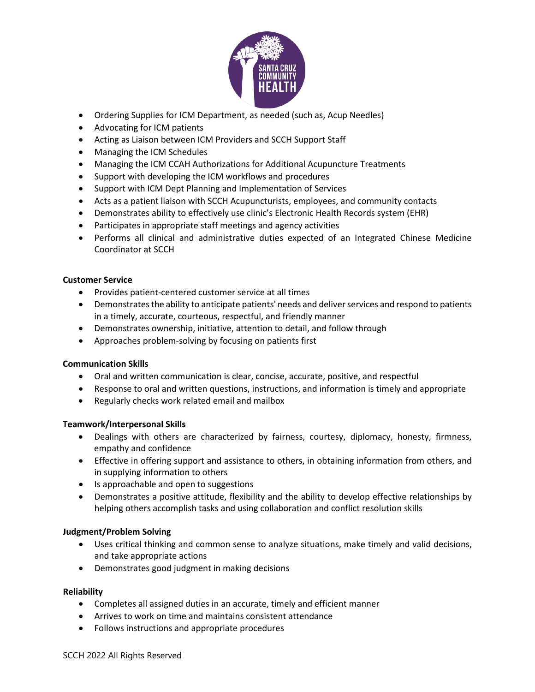

- Ordering Supplies for ICM Department, as needed (such as, Acup Needles)
- Advocating for ICM patients
- Acting as Liaison between ICM Providers and SCCH Support Staff
- Managing the ICM Schedules
- Managing the ICM CCAH Authorizations for Additional Acupuncture Treatments
- Support with developing the ICM workflows and procedures
- Support with ICM Dept Planning and Implementation of Services
- Acts as a patient liaison with SCCH Acupuncturists, employees, and community contacts
- Demonstrates ability to effectively use clinic's Electronic Health Records system (EHR)
- Participates in appropriate staff meetings and agency activities
- Performs all clinical and administrative duties expected of an Integrated Chinese Medicine Coordinator at SCCH

## **Customer Service**

- Provides patient-centered customer service at all times
- Demonstrates the ability to anticipate patients' needs and deliver services and respond to patients in a timely, accurate, courteous, respectful, and friendly manner
- Demonstrates ownership, initiative, attention to detail, and follow through
- Approaches problem-solving by focusing on patients first

## **Communication Skills**

- Oral and written communication is clear, concise, accurate, positive, and respectful
- Response to oral and written questions, instructions, and information is timely and appropriate
- Regularly checks work related email and mailbox

## **Teamwork/Interpersonal Skills**

- Dealings with others are characterized by fairness, courtesy, diplomacy, honesty, firmness, empathy and confidence
- Effective in offering support and assistance to others, in obtaining information from others, and in supplying information to others
- Is approachable and open to suggestions
- Demonstrates a positive attitude, flexibility and the ability to develop effective relationships by helping others accomplish tasks and using collaboration and conflict resolution skills

# **Judgment/Problem Solving**

- Uses critical thinking and common sense to analyze situations, make timely and valid decisions, and take appropriate actions
- Demonstrates good judgment in making decisions

## **Reliability**

- Completes all assigned duties in an accurate, timely and efficient manner
- Arrives to work on time and maintains consistent attendance
- Follows instructions and appropriate procedures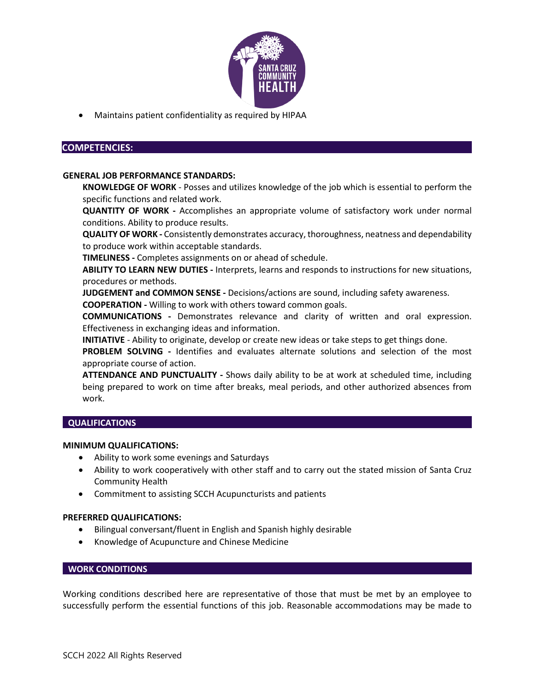

• Maintains patient confidentiality as required by HIPAA

### **COMPETENCIES:**

#### **GENERAL JOB PERFORMANCE STANDARDS:**

**KNOWLEDGE OF WORK** - Posses and utilizes knowledge of the job which is essential to perform the specific functions and related work.

**QUANTITY OF WORK -** Accomplishes an appropriate volume of satisfactory work under normal conditions. Ability to produce results.

**QUALITY OF WORK -** Consistently demonstrates accuracy, thoroughness, neatness and dependability to produce work within acceptable standards.

**TIMELINESS -** Completes assignments on or ahead of schedule.

**ABILITY TO LEARN NEW DUTIES -** Interprets, learns and responds to instructions for new situations, procedures or methods.

**JUDGEMENT and COMMON SENSE -** Decisions/actions are sound, including safety awareness.

**COOPERATION -** Willing to work with others toward common goals.

**COMMUNICATIONS -** Demonstrates relevance and clarity of written and oral expression. Effectiveness in exchanging ideas and information.

**INITIATIVE** *-* Ability to originate, develop or create new ideas or take steps to get things done.

**PROBLEM SOLVING -** Identifies and evaluates alternate solutions and selection of the most appropriate course of action.

**ATTENDANCE AND PUNCTUALITY -** Shows daily ability to be at work at scheduled time, including being prepared to work on time after breaks, meal periods, and other authorized absences from work.

## **QUALIFICATIONS**

#### **MINIMUM QUALIFICATIONS:**

- Ability to work some evenings and Saturdays
- Ability to work cooperatively with other staff and to carry out the stated mission of Santa Cruz Community Health
- Commitment to assisting SCCH Acupuncturists and patients

#### **PREFERRED QUALIFICATIONS:**

- Bilingual conversant/fluent in English and Spanish highly desirable
- Knowledge of Acupuncture and Chinese Medicine

#### **WORK CONDITIONS**

Working conditions described here are representative of those that must be met by an employee to successfully perform the essential functions of this job. Reasonable accommodations may be made to